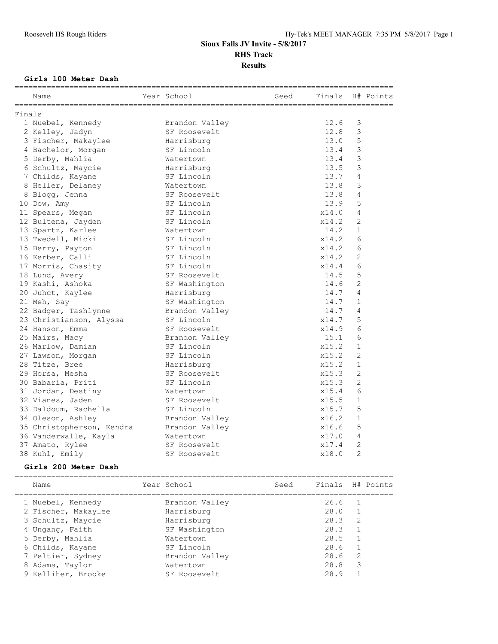## **Girls 100 Meter Dash**

| Finals<br>12.6<br>3<br>1 Nuebel, Kennedy<br>Brandon Valley<br>12.8<br>3<br>2 Kelley, Jadyn<br>SF Roosevelt<br>5<br>13.0<br>3 Fischer, Makaylee<br>Harrisburg<br>3<br>13.4<br>4 Bachelor, Morgan<br>SF Lincoln<br>3<br>13.4<br>5 Derby, Mahlia<br>Watertown<br>3<br>13.5<br>6 Schultz, Maycie<br>Harrisburg<br>13.7<br>$\overline{4}$<br>7 Childs, Kayane<br>SF Lincoln<br>13.8<br>3<br>8 Heller, Delaney<br>Watertown<br>13.8<br>8 Blogg, Jenna<br>4<br>SF Roosevelt<br>5<br>13.9<br>10 Dow, Amy<br>SF Lincoln<br>SF Lincoln<br>x14.0<br>4<br>11 Spears, Megan<br>$\overline{c}$<br>SF Lincoln<br>x14.2<br>12 Bultena, Jayden<br>14.2<br>$\mathbf 1$<br>13 Spartz, Karlee<br>Watertown<br>6<br>13 Twedell, Micki<br>SF Lincoln<br>x14.2<br>15 Berry, Payton<br>SF Lincoln<br>x14.2<br>6<br>2<br>16 Kerber, Calli<br>SF Lincoln<br>x14.2<br>6<br>SF Lincoln<br>x14.4<br>17 Morris, Chasity<br>5<br>14.5<br>18 Lund, Avery<br>SF Roosevelt<br>14.6<br>2<br>19 Kashi, Ashoka<br>SF Washington<br>4<br>14.7<br>20 Juhct, Kaylee<br>Harrisburg<br>21 Meh, Say<br>SF Washington<br>14.7<br>$\mathbf{1}$<br>14.7<br>4<br>22 Badger, Tashlynne<br>Brandon Valley<br>5<br>23 Christianson, Alyssa<br>SF Lincoln<br>x14.7<br>6<br>x14.9<br>24 Hanson, Emma<br>SF Roosevelt<br>6<br>15.1<br>25 Mairs, Macy<br>Brandon Valley<br>$\mathbf{1}$<br>SF Lincoln<br>x15.2<br>26 Marlow, Damian<br>$\overline{c}$<br>27 Lawson, Morgan<br>SF Lincoln<br>x15.2<br>$\mathbf 1$<br>28 Titze, Bree<br>Harrisburg<br>x15.2<br>2<br>29 Horsa, Mesha<br>SF Roosevelt<br>x15.3<br>$\overline{2}$<br>30 Babaria, Priti<br>SF Lincoln<br>x15.3<br>6<br>31 Jordan, Destiny<br>x15.4<br>Watertown<br>$\mathbf{1}$<br>x15.5<br>32 Vianes, Jaden<br>SF Roosevelt<br>5<br>33 Daldoum, Rachella<br>x15.7<br>SF Lincoln<br>$\mathbf 1$<br>x16.2<br>34 Oleson, Ashley<br>Brandon Valley<br>5<br>x16.6<br>35 Christopherson, Kendra<br>Brandon Valley<br>4<br>36 Vanderwalle, Kayla<br>Watertown<br>x17.0<br>$\overline{c}$<br>x17.4<br>37 Amato, Rylee<br>SF Roosevelt<br>SF Roosevelt<br>38 Kuhl, Emily<br>x18.0<br>2<br>Girls 200 Meter Dash<br>============================= | Name | Year School | Seed | Finals | H# Points |
|---------------------------------------------------------------------------------------------------------------------------------------------------------------------------------------------------------------------------------------------------------------------------------------------------------------------------------------------------------------------------------------------------------------------------------------------------------------------------------------------------------------------------------------------------------------------------------------------------------------------------------------------------------------------------------------------------------------------------------------------------------------------------------------------------------------------------------------------------------------------------------------------------------------------------------------------------------------------------------------------------------------------------------------------------------------------------------------------------------------------------------------------------------------------------------------------------------------------------------------------------------------------------------------------------------------------------------------------------------------------------------------------------------------------------------------------------------------------------------------------------------------------------------------------------------------------------------------------------------------------------------------------------------------------------------------------------------------------------------------------------------------------------------------------------------------------------------------------------------------------------------------------------------------------------------------------------------------------------------------------------------------------------------------------------------------------------------------------------------------------------------------------|------|-------------|------|--------|-----------|
|                                                                                                                                                                                                                                                                                                                                                                                                                                                                                                                                                                                                                                                                                                                                                                                                                                                                                                                                                                                                                                                                                                                                                                                                                                                                                                                                                                                                                                                                                                                                                                                                                                                                                                                                                                                                                                                                                                                                                                                                                                                                                                                                             |      |             |      |        |           |
|                                                                                                                                                                                                                                                                                                                                                                                                                                                                                                                                                                                                                                                                                                                                                                                                                                                                                                                                                                                                                                                                                                                                                                                                                                                                                                                                                                                                                                                                                                                                                                                                                                                                                                                                                                                                                                                                                                                                                                                                                                                                                                                                             |      |             |      |        |           |
|                                                                                                                                                                                                                                                                                                                                                                                                                                                                                                                                                                                                                                                                                                                                                                                                                                                                                                                                                                                                                                                                                                                                                                                                                                                                                                                                                                                                                                                                                                                                                                                                                                                                                                                                                                                                                                                                                                                                                                                                                                                                                                                                             |      |             |      |        |           |
|                                                                                                                                                                                                                                                                                                                                                                                                                                                                                                                                                                                                                                                                                                                                                                                                                                                                                                                                                                                                                                                                                                                                                                                                                                                                                                                                                                                                                                                                                                                                                                                                                                                                                                                                                                                                                                                                                                                                                                                                                                                                                                                                             |      |             |      |        |           |
|                                                                                                                                                                                                                                                                                                                                                                                                                                                                                                                                                                                                                                                                                                                                                                                                                                                                                                                                                                                                                                                                                                                                                                                                                                                                                                                                                                                                                                                                                                                                                                                                                                                                                                                                                                                                                                                                                                                                                                                                                                                                                                                                             |      |             |      |        |           |
|                                                                                                                                                                                                                                                                                                                                                                                                                                                                                                                                                                                                                                                                                                                                                                                                                                                                                                                                                                                                                                                                                                                                                                                                                                                                                                                                                                                                                                                                                                                                                                                                                                                                                                                                                                                                                                                                                                                                                                                                                                                                                                                                             |      |             |      |        |           |
|                                                                                                                                                                                                                                                                                                                                                                                                                                                                                                                                                                                                                                                                                                                                                                                                                                                                                                                                                                                                                                                                                                                                                                                                                                                                                                                                                                                                                                                                                                                                                                                                                                                                                                                                                                                                                                                                                                                                                                                                                                                                                                                                             |      |             |      |        |           |
|                                                                                                                                                                                                                                                                                                                                                                                                                                                                                                                                                                                                                                                                                                                                                                                                                                                                                                                                                                                                                                                                                                                                                                                                                                                                                                                                                                                                                                                                                                                                                                                                                                                                                                                                                                                                                                                                                                                                                                                                                                                                                                                                             |      |             |      |        |           |
|                                                                                                                                                                                                                                                                                                                                                                                                                                                                                                                                                                                                                                                                                                                                                                                                                                                                                                                                                                                                                                                                                                                                                                                                                                                                                                                                                                                                                                                                                                                                                                                                                                                                                                                                                                                                                                                                                                                                                                                                                                                                                                                                             |      |             |      |        |           |
|                                                                                                                                                                                                                                                                                                                                                                                                                                                                                                                                                                                                                                                                                                                                                                                                                                                                                                                                                                                                                                                                                                                                                                                                                                                                                                                                                                                                                                                                                                                                                                                                                                                                                                                                                                                                                                                                                                                                                                                                                                                                                                                                             |      |             |      |        |           |
|                                                                                                                                                                                                                                                                                                                                                                                                                                                                                                                                                                                                                                                                                                                                                                                                                                                                                                                                                                                                                                                                                                                                                                                                                                                                                                                                                                                                                                                                                                                                                                                                                                                                                                                                                                                                                                                                                                                                                                                                                                                                                                                                             |      |             |      |        |           |
|                                                                                                                                                                                                                                                                                                                                                                                                                                                                                                                                                                                                                                                                                                                                                                                                                                                                                                                                                                                                                                                                                                                                                                                                                                                                                                                                                                                                                                                                                                                                                                                                                                                                                                                                                                                                                                                                                                                                                                                                                                                                                                                                             |      |             |      |        |           |
|                                                                                                                                                                                                                                                                                                                                                                                                                                                                                                                                                                                                                                                                                                                                                                                                                                                                                                                                                                                                                                                                                                                                                                                                                                                                                                                                                                                                                                                                                                                                                                                                                                                                                                                                                                                                                                                                                                                                                                                                                                                                                                                                             |      |             |      |        |           |
|                                                                                                                                                                                                                                                                                                                                                                                                                                                                                                                                                                                                                                                                                                                                                                                                                                                                                                                                                                                                                                                                                                                                                                                                                                                                                                                                                                                                                                                                                                                                                                                                                                                                                                                                                                                                                                                                                                                                                                                                                                                                                                                                             |      |             |      |        |           |
|                                                                                                                                                                                                                                                                                                                                                                                                                                                                                                                                                                                                                                                                                                                                                                                                                                                                                                                                                                                                                                                                                                                                                                                                                                                                                                                                                                                                                                                                                                                                                                                                                                                                                                                                                                                                                                                                                                                                                                                                                                                                                                                                             |      |             |      |        |           |
|                                                                                                                                                                                                                                                                                                                                                                                                                                                                                                                                                                                                                                                                                                                                                                                                                                                                                                                                                                                                                                                                                                                                                                                                                                                                                                                                                                                                                                                                                                                                                                                                                                                                                                                                                                                                                                                                                                                                                                                                                                                                                                                                             |      |             |      |        |           |
|                                                                                                                                                                                                                                                                                                                                                                                                                                                                                                                                                                                                                                                                                                                                                                                                                                                                                                                                                                                                                                                                                                                                                                                                                                                                                                                                                                                                                                                                                                                                                                                                                                                                                                                                                                                                                                                                                                                                                                                                                                                                                                                                             |      |             |      |        |           |
|                                                                                                                                                                                                                                                                                                                                                                                                                                                                                                                                                                                                                                                                                                                                                                                                                                                                                                                                                                                                                                                                                                                                                                                                                                                                                                                                                                                                                                                                                                                                                                                                                                                                                                                                                                                                                                                                                                                                                                                                                                                                                                                                             |      |             |      |        |           |
|                                                                                                                                                                                                                                                                                                                                                                                                                                                                                                                                                                                                                                                                                                                                                                                                                                                                                                                                                                                                                                                                                                                                                                                                                                                                                                                                                                                                                                                                                                                                                                                                                                                                                                                                                                                                                                                                                                                                                                                                                                                                                                                                             |      |             |      |        |           |
|                                                                                                                                                                                                                                                                                                                                                                                                                                                                                                                                                                                                                                                                                                                                                                                                                                                                                                                                                                                                                                                                                                                                                                                                                                                                                                                                                                                                                                                                                                                                                                                                                                                                                                                                                                                                                                                                                                                                                                                                                                                                                                                                             |      |             |      |        |           |
|                                                                                                                                                                                                                                                                                                                                                                                                                                                                                                                                                                                                                                                                                                                                                                                                                                                                                                                                                                                                                                                                                                                                                                                                                                                                                                                                                                                                                                                                                                                                                                                                                                                                                                                                                                                                                                                                                                                                                                                                                                                                                                                                             |      |             |      |        |           |
|                                                                                                                                                                                                                                                                                                                                                                                                                                                                                                                                                                                                                                                                                                                                                                                                                                                                                                                                                                                                                                                                                                                                                                                                                                                                                                                                                                                                                                                                                                                                                                                                                                                                                                                                                                                                                                                                                                                                                                                                                                                                                                                                             |      |             |      |        |           |
|                                                                                                                                                                                                                                                                                                                                                                                                                                                                                                                                                                                                                                                                                                                                                                                                                                                                                                                                                                                                                                                                                                                                                                                                                                                                                                                                                                                                                                                                                                                                                                                                                                                                                                                                                                                                                                                                                                                                                                                                                                                                                                                                             |      |             |      |        |           |
|                                                                                                                                                                                                                                                                                                                                                                                                                                                                                                                                                                                                                                                                                                                                                                                                                                                                                                                                                                                                                                                                                                                                                                                                                                                                                                                                                                                                                                                                                                                                                                                                                                                                                                                                                                                                                                                                                                                                                                                                                                                                                                                                             |      |             |      |        |           |
|                                                                                                                                                                                                                                                                                                                                                                                                                                                                                                                                                                                                                                                                                                                                                                                                                                                                                                                                                                                                                                                                                                                                                                                                                                                                                                                                                                                                                                                                                                                                                                                                                                                                                                                                                                                                                                                                                                                                                                                                                                                                                                                                             |      |             |      |        |           |
|                                                                                                                                                                                                                                                                                                                                                                                                                                                                                                                                                                                                                                                                                                                                                                                                                                                                                                                                                                                                                                                                                                                                                                                                                                                                                                                                                                                                                                                                                                                                                                                                                                                                                                                                                                                                                                                                                                                                                                                                                                                                                                                                             |      |             |      |        |           |
|                                                                                                                                                                                                                                                                                                                                                                                                                                                                                                                                                                                                                                                                                                                                                                                                                                                                                                                                                                                                                                                                                                                                                                                                                                                                                                                                                                                                                                                                                                                                                                                                                                                                                                                                                                                                                                                                                                                                                                                                                                                                                                                                             |      |             |      |        |           |
|                                                                                                                                                                                                                                                                                                                                                                                                                                                                                                                                                                                                                                                                                                                                                                                                                                                                                                                                                                                                                                                                                                                                                                                                                                                                                                                                                                                                                                                                                                                                                                                                                                                                                                                                                                                                                                                                                                                                                                                                                                                                                                                                             |      |             |      |        |           |
|                                                                                                                                                                                                                                                                                                                                                                                                                                                                                                                                                                                                                                                                                                                                                                                                                                                                                                                                                                                                                                                                                                                                                                                                                                                                                                                                                                                                                                                                                                                                                                                                                                                                                                                                                                                                                                                                                                                                                                                                                                                                                                                                             |      |             |      |        |           |
|                                                                                                                                                                                                                                                                                                                                                                                                                                                                                                                                                                                                                                                                                                                                                                                                                                                                                                                                                                                                                                                                                                                                                                                                                                                                                                                                                                                                                                                                                                                                                                                                                                                                                                                                                                                                                                                                                                                                                                                                                                                                                                                                             |      |             |      |        |           |
|                                                                                                                                                                                                                                                                                                                                                                                                                                                                                                                                                                                                                                                                                                                                                                                                                                                                                                                                                                                                                                                                                                                                                                                                                                                                                                                                                                                                                                                                                                                                                                                                                                                                                                                                                                                                                                                                                                                                                                                                                                                                                                                                             |      |             |      |        |           |
|                                                                                                                                                                                                                                                                                                                                                                                                                                                                                                                                                                                                                                                                                                                                                                                                                                                                                                                                                                                                                                                                                                                                                                                                                                                                                                                                                                                                                                                                                                                                                                                                                                                                                                                                                                                                                                                                                                                                                                                                                                                                                                                                             |      |             |      |        |           |
|                                                                                                                                                                                                                                                                                                                                                                                                                                                                                                                                                                                                                                                                                                                                                                                                                                                                                                                                                                                                                                                                                                                                                                                                                                                                                                                                                                                                                                                                                                                                                                                                                                                                                                                                                                                                                                                                                                                                                                                                                                                                                                                                             |      |             |      |        |           |
|                                                                                                                                                                                                                                                                                                                                                                                                                                                                                                                                                                                                                                                                                                                                                                                                                                                                                                                                                                                                                                                                                                                                                                                                                                                                                                                                                                                                                                                                                                                                                                                                                                                                                                                                                                                                                                                                                                                                                                                                                                                                                                                                             |      |             |      |        |           |
|                                                                                                                                                                                                                                                                                                                                                                                                                                                                                                                                                                                                                                                                                                                                                                                                                                                                                                                                                                                                                                                                                                                                                                                                                                                                                                                                                                                                                                                                                                                                                                                                                                                                                                                                                                                                                                                                                                                                                                                                                                                                                                                                             |      |             |      |        |           |
|                                                                                                                                                                                                                                                                                                                                                                                                                                                                                                                                                                                                                                                                                                                                                                                                                                                                                                                                                                                                                                                                                                                                                                                                                                                                                                                                                                                                                                                                                                                                                                                                                                                                                                                                                                                                                                                                                                                                                                                                                                                                                                                                             |      |             |      |        |           |
|                                                                                                                                                                                                                                                                                                                                                                                                                                                                                                                                                                                                                                                                                                                                                                                                                                                                                                                                                                                                                                                                                                                                                                                                                                                                                                                                                                                                                                                                                                                                                                                                                                                                                                                                                                                                                                                                                                                                                                                                                                                                                                                                             |      |             |      |        |           |
|                                                                                                                                                                                                                                                                                                                                                                                                                                                                                                                                                                                                                                                                                                                                                                                                                                                                                                                                                                                                                                                                                                                                                                                                                                                                                                                                                                                                                                                                                                                                                                                                                                                                                                                                                                                                                                                                                                                                                                                                                                                                                                                                             |      |             |      |        |           |
|                                                                                                                                                                                                                                                                                                                                                                                                                                                                                                                                                                                                                                                                                                                                                                                                                                                                                                                                                                                                                                                                                                                                                                                                                                                                                                                                                                                                                                                                                                                                                                                                                                                                                                                                                                                                                                                                                                                                                                                                                                                                                                                                             |      |             |      |        |           |
|                                                                                                                                                                                                                                                                                                                                                                                                                                                                                                                                                                                                                                                                                                                                                                                                                                                                                                                                                                                                                                                                                                                                                                                                                                                                                                                                                                                                                                                                                                                                                                                                                                                                                                                                                                                                                                                                                                                                                                                                                                                                                                                                             |      |             |      |        |           |
| Year School                                                                                                                                                                                                                                                                                                                                                                                                                                                                                                                                                                                                                                                                                                                                                                                                                                                                                                                                                                                                                                                                                                                                                                                                                                                                                                                                                                                                                                                                                                                                                                                                                                                                                                                                                                                                                                                                                                                                                                                                                                                                                                                                 | Name |             | Seed | Finals | H# Points |
| 26.6<br>1<br>Brandon Valley                                                                                                                                                                                                                                                                                                                                                                                                                                                                                                                                                                                                                                                                                                                                                                                                                                                                                                                                                                                                                                                                                                                                                                                                                                                                                                                                                                                                                                                                                                                                                                                                                                                                                                                                                                                                                                                                                                                                                                                                                                                                                                                 |      |             |      |        |           |
| 1 Nuebel, Kennedy<br>28.0<br>$\mathbf 1$<br>2 Fischer, Makaylee<br>Harrisburg                                                                                                                                                                                                                                                                                                                                                                                                                                                                                                                                                                                                                                                                                                                                                                                                                                                                                                                                                                                                                                                                                                                                                                                                                                                                                                                                                                                                                                                                                                                                                                                                                                                                                                                                                                                                                                                                                                                                                                                                                                                               |      |             |      |        |           |
| 2<br>28.3<br>3 Schultz, Maycie<br>Harrisburg                                                                                                                                                                                                                                                                                                                                                                                                                                                                                                                                                                                                                                                                                                                                                                                                                                                                                                                                                                                                                                                                                                                                                                                                                                                                                                                                                                                                                                                                                                                                                                                                                                                                                                                                                                                                                                                                                                                                                                                                                                                                                                |      |             |      |        |           |
| 28.3<br>1<br>Ungang, Faith<br>SF Washington                                                                                                                                                                                                                                                                                                                                                                                                                                                                                                                                                                                                                                                                                                                                                                                                                                                                                                                                                                                                                                                                                                                                                                                                                                                                                                                                                                                                                                                                                                                                                                                                                                                                                                                                                                                                                                                                                                                                                                                                                                                                                                 |      |             |      |        |           |
| 1<br>28.5<br>5 Derby, Mahlia<br>Watertown                                                                                                                                                                                                                                                                                                                                                                                                                                                                                                                                                                                                                                                                                                                                                                                                                                                                                                                                                                                                                                                                                                                                                                                                                                                                                                                                                                                                                                                                                                                                                                                                                                                                                                                                                                                                                                                                                                                                                                                                                                                                                                   |      |             |      |        |           |
| $\mathbf 1$<br>SF Lincoln<br>28.6<br>6 Childs, Kayane                                                                                                                                                                                                                                                                                                                                                                                                                                                                                                                                                                                                                                                                                                                                                                                                                                                                                                                                                                                                                                                                                                                                                                                                                                                                                                                                                                                                                                                                                                                                                                                                                                                                                                                                                                                                                                                                                                                                                                                                                                                                                       |      |             |      |        |           |
| 2<br>28.6<br>7 Peltier, Sydney<br>Brandon Valley                                                                                                                                                                                                                                                                                                                                                                                                                                                                                                                                                                                                                                                                                                                                                                                                                                                                                                                                                                                                                                                                                                                                                                                                                                                                                                                                                                                                                                                                                                                                                                                                                                                                                                                                                                                                                                                                                                                                                                                                                                                                                            |      |             |      |        |           |

 8 Adams, Taylor Watertown 28.8 3 9 Kelliher, Brooke SF Roosevelt 28.9 1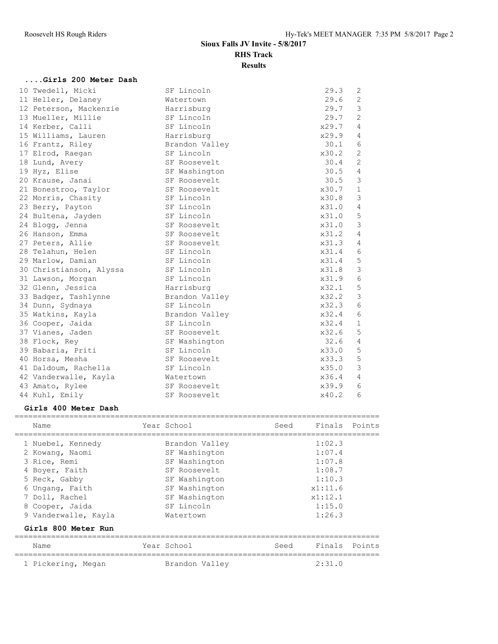**....Girls 200 Meter Dash**

# **Sioux Falls JV Invite - 5/8/2017 RHS Track Results**

### 10 Twedell, Micki SF Lincoln 29.3 2 11 Heller, Delaney **Watertown** 29.6 2 12 Peterson, Mackenzie Harrisburg 29.7 3 13 Mueller, Millie SF Lincoln 29.7 2 14 Kerber, Calli SF Lincoln 38 X29.7 4 15 Williams, Lauren Harrisburg x29.9 4 16 Frantz, Riley Brandon Valley 30.1 6 17 Elrod, Raegan SF Lincoln SF Lincoln x30.2 2 18 Lund, Avery SF Roosevelt 30.4 2 19 Hyz, Elise SF Washington 30.5 4 20 Krause, Janai SF Roosevelt 30.5 3 21 Bonestroo, Taylor SF Roosevelt 30.7 1 22 Morris, Chasity SF Lincoln x30.8 3 23 Berry, Payton SF Lincoln SF Lincoln x31.0 4 24 Bultena, Jayden SF Lincoln SF Lincoln x31.0 5 24 Blogg, Jenna SF Roosevelt 24 Blogg, 31.0 3 26 Hanson, Emma SF Roosevelt 31.2 4 27 Peters, Allie SF Roosevelt 27 Peters, Allie 28 Telahun, Helen SF Lincoln x31.4 6 29 Marlow, Damian SF Lincoln x31.4 5 30 Christianson, Alyssa SF Lincoln 30 Christianson, Alyssa 31 Lawson, Morgan SF Lincoln x31.9 6 32 Glenn, Jessica Harrisburg x32.1 5 33 Badger, Tashlynne Brandon Valley x32.2 3 34 Dunn, Sydnaya SF Lincoln x32.3 6 35 Watkins, Kayla Brandon Valley x32.4 6 36 Cooper, Jaida SF Lincoln x32.4 1 37 Vianes, Jaden SF Roosevelt x32.6 5 38 Flock, Rey SF Washington 32.6 4 39 Babaria, Priti SF Lincoln x33.0 5 40 Horsa, Mesha SF Roosevelt x33.3 5 41 Daldoum, Rachella SF Lincoln x35.0 3 42 Vanderwalle, Kayla Watertown x36.4 4 43 Amato, Rylee SF Roosevelt x39.9 6 44 Kuhl, Emily SF Roosevelt  $x40.2$  6

### **Girls 400 Meter Dash**

|   | Name                 | Year School    | Seed | Finals Points |        |
|---|----------------------|----------------|------|---------------|--------|
|   | 1 Nuebel, Kennedy    | Brandon Valley |      | 1:02.3        |        |
|   | 2 Kowang, Naomi      | SF Washington  |      | 1:07.4        |        |
|   | 3 Rice, Remi         | SF Washington  |      | 1:07.8        |        |
|   | 4 Boyer, Faith       | SF Roosevelt   |      | 1:08.7        |        |
|   | 5 Reck, Gabby        | SF Washington  |      | 1:10.3        |        |
| 6 | Ungang, Faith        | SF Washington  |      | x1:11.6       |        |
|   | Doll, Rachel         | SF Washington  |      | x1:12.1       |        |
|   | 8 Cooper, Jaida      | SF Lincoln     |      | 1:15.0        |        |
|   | 9 Vanderwalle, Kayla | Watertown      |      | 1:26.3        |        |
|   | Girls 800 Meter Run  |                |      |               |        |
|   | Name                 | Year School    | Seed | Finals        | Points |
|   | 1 Pickering, Megan   | Brandon Valley |      | 2:31.0        |        |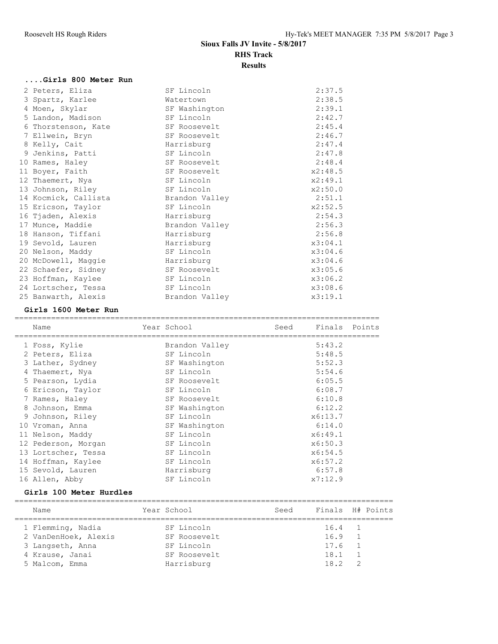# **....Girls 800 Meter Run**

| 2 Peters, Eliza      | SF Lincoln     | 2:37.5  |
|----------------------|----------------|---------|
| 3 Spartz, Karlee     | Watertown      | 2:38.5  |
| 4 Moen, Skylar       | SF Washington  | 2:39.1  |
| 5 Landon, Madison    | SF Lincoln     | 2:42.7  |
| 6 Thorstenson, Kate  | SF Roosevelt   | 2:45.4  |
| 7 Ellwein, Bryn      | SF Roosevelt   | 2:46.7  |
| 8 Kelly, Cait        | Harrisburg     | 2:47.4  |
| 9 Jenkins, Patti     | SF Lincoln     | 2:47.8  |
| 10 Rames, Haley      | SF Roosevelt   | 2:48.4  |
| 11 Boyer, Faith      | SF Roosevelt   | x2:48.5 |
| 12 Thaemert, Nya     | SF Lincoln     | x2:49.1 |
| 13 Johnson, Riley    | SF Lincoln     | x2:50.0 |
| 14 Kocmick, Callista | Brandon Valley | 2:51.1  |
| 15 Ericson, Taylor   | SF Lincoln     | x2:52.5 |
| 16 Tjaden, Alexis    | Harrisburg     | 2:54.3  |
| 17 Munce, Maddie     | Brandon Valley | 2:56.3  |
| 18 Hanson, Tiffani   | Harrisburg     | 2:56.8  |
| 19 Sevold, Lauren    | Harrisburg     | x3:04.1 |
| 20 Nelson, Maddy     | SF Lincoln     | x3:04.6 |
| 20 McDowell, Maggie  | Harrisburg     | x3:04.6 |
| 22 Schaefer, Sidney  | SF Roosevelt   | x3:05.6 |
| 23 Hoffman, Kaylee   | SF Lincoln     | x3:06.2 |
| 24 Lortscher, Tessa  | SF Lincoln     | x3:08.6 |
| 25 Banwarth, Alexis  | Brandon Valley | x3:19.1 |

### **Girls 1600 Meter Run**

| Name                | Year School    | Seed | Finals Points |  |
|---------------------|----------------|------|---------------|--|
| 1 Foss, Kylie       | Brandon Valley |      | 5:43.2        |  |
| 2 Peters, Eliza     | SF Lincoln     |      | 5:48.5        |  |
| 3 Lather, Sydney    | SF Washington  |      | 5:52.3        |  |
| 4 Thaemert, Nya     | SF Lincoln     |      | 5:54.6        |  |
| 5 Pearson, Lydia    | SF Roosevelt   |      | 6:05.5        |  |
| 6 Ericson, Taylor   | SF Lincoln     |      | 6:08.7        |  |
| 7 Rames, Haley      | SF Roosevelt   |      | 6:10.8        |  |
| 8 Johnson, Emma     | SF Washington  |      | 6:12.2        |  |
| 9 Johnson, Riley    | SF Lincoln     |      | x6:13.7       |  |
| 10 Vroman, Anna     | SF Washington  |      | 6:14.0        |  |
| 11 Nelson, Maddy    | SF Lincoln     |      | x6:49.1       |  |
| 12 Pederson, Morgan | SF Lincoln     |      | x6:50.3       |  |
| 13 Lortscher, Tessa | SF Lincoln     |      | x6:54.5       |  |
| 14 Hoffman, Kaylee  | SF Lincoln     |      | x6:57.2       |  |
| 15 Sevold, Lauren   | Harrisburg     |      | 6:57.8        |  |
| 16 Allen, Abby      | SF Lincoln     |      | x7:12.9       |  |
|                     |                |      |               |  |

## **Girls 100 Meter Hurdles**

| Name                 | Year School  | Seed | Finals H# Points |  |
|----------------------|--------------|------|------------------|--|
| 1 Flemming, Nadia    | SF Lincoln   |      | 16.4 1           |  |
| 2 VanDenHoek, Alexis | SF Roosevelt |      | 16.9             |  |
| 3 Langseth, Anna     | SF Lincoln   |      | 17.6             |  |
| 4 Krause, Janai      | SF Roosevelt |      | 18.1             |  |
| 5 Malcom, Emma       | Harrisburg   |      | 18.2             |  |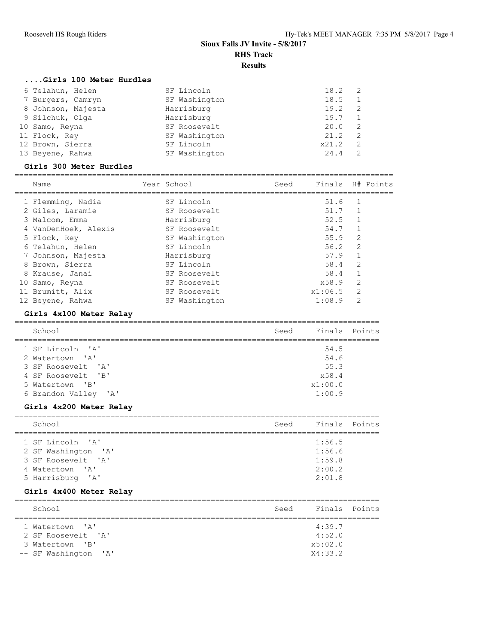### **....Girls 100 Meter Hurdles**

| 6 Telahun, Helen   | SF Lincoln    | $18.2 \quad 2$ |                |
|--------------------|---------------|----------------|----------------|
| 7 Burgers, Camryn  | SF Washington | 18.5           |                |
| 8 Johnson, Majesta | Harrisburg    | 19.2           | $\overline{2}$ |
| 9 Silchuk, Olga    | Harrisburg    | 19.7           |                |
| 10 Samo, Reyna     | SF Roosevelt  | 20.0           | $\overline{2}$ |
| 11 Flock, Rey      | SF Washington | 21.2           | $\overline{2}$ |
| 12 Brown, Sierra   | SF Lincoln    | x21.2          | $\overline{2}$ |
| 13 Beyene, Rahwa   | SF Washington | 24.4           |                |

## **Girls 300 Meter Hurdles**

| Name                 | Year School |               | Seed | Finals H# Points |                |  |
|----------------------|-------------|---------------|------|------------------|----------------|--|
| 1 Flemming, Nadia    |             | SF Lincoln    |      | 51.6             | $\mathbf{1}$   |  |
| 2 Giles, Laramie     |             | SF Roosevelt  |      | 51.7             |                |  |
| 3 Malcom, Emma       |             | Harrisburg    |      | 52.5             | $\mathbf{1}$   |  |
| 4 VanDenHoek, Alexis |             | SF Roosevelt  |      | 54.7             | -1             |  |
| 5 Flock, Rey         |             | SF Washington |      | 55.9             | $\mathfrak{D}$ |  |
| 6 Telahun, Helen     |             | SF Lincoln    |      | 56.2             | 2              |  |
| 7 Johnson, Majesta   |             | Harrisburg    |      | 57.9             | 1              |  |
| 8 Brown, Sierra      |             | SF Lincoln    |      | 58.4             | 2              |  |
| 8 Krause, Janai      |             | SF Roosevelt  |      | 58.4             |                |  |
| 10 Samo, Reyna       |             | SF Roosevelt  |      | x58.9            | 2              |  |
| 11 Brumitt, Alix     |             | SF Roosevelt  |      | x1:06.5          | 2              |  |
| 12 Beyene, Rahwa     |             | SF Washington |      | 1:08.9           | $\overline{2}$ |  |

## **Girls 4x100 Meter Relay**

| School               | Seed | Finals Points |  |
|----------------------|------|---------------|--|
| 1 SF Lincoln 'A'     |      | 54.5          |  |
| 2 Watertown 'A'      |      | 54.6          |  |
| 3 SF Roosevelt. 'A'  |      | 55.3          |  |
| 4 SF Roosevelt. 'B'  |      | x58.4         |  |
| 5 Watertown 'B'      |      | x1:00.0       |  |
| 6 Brandon Valley 'A' |      | 1:00.9        |  |

## **Girls 4x200 Meter Relay**

| School              | Seed | Finals Points |  |
|---------------------|------|---------------|--|
|                     |      |               |  |
| 1 SF Lincoln 'A'    |      | 1:56.5        |  |
| 2 SF Washington 'A' |      | 1:56.6        |  |
| 3 SF Roosevelt 'A'  |      | 1:59.8        |  |
| 4 Watertown 'A'     |      | 2:00.2        |  |
| 5 Harrisburg 'A'    |      | 2:01.8        |  |

## **Girls 4x400 Meter Relay**

| School               | Seed | Finals Points |  |
|----------------------|------|---------------|--|
|                      |      |               |  |
| 1 Watertown 'A'      |      | 4:39.7        |  |
| 2 SF Roosevelt. 'A'  |      | 4:52.0        |  |
| 3 Watertown 'B'      |      | x5:02.0       |  |
| -- SF Washington 'A' |      | X4:33.2       |  |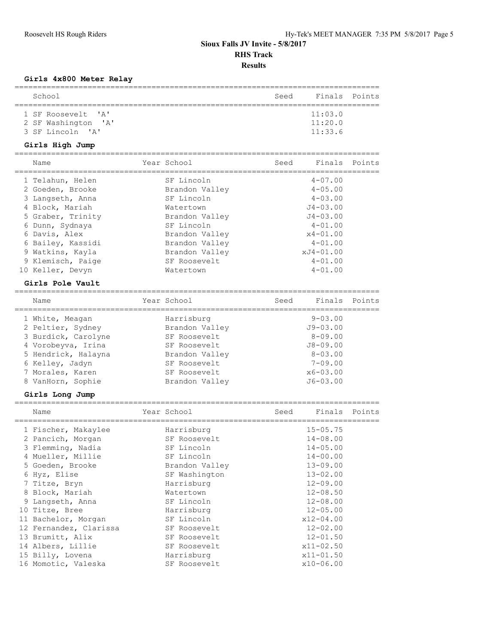## **Girls 4x800 Meter Relay**

| School                                       |                | Seed | Finals        | Points |
|----------------------------------------------|----------------|------|---------------|--------|
| 1 SF Roosevelt<br>' A'                       |                |      | 11:03.0       |        |
| 2 SF Washington<br>$^{\prime}$ A $^{\prime}$ |                |      | 11:20.0       |        |
| 3 SF Lincoln<br>$^{\prime}$ A $^{\prime}$    |                |      | 11:33.6       |        |
| Girls High Jump                              |                |      |               |        |
| Name                                         | Year School    | Seed | Finals        | Points |
| 1 Telahun, Helen                             | SF Lincoln     |      | $4 - 07.00$   |        |
| 2 Goeden, Brooke                             | Brandon Valley |      | $4 - 05.00$   |        |
| 3 Langseth, Anna                             | SF Lincoln     |      | $4 - 03.00$   |        |
| 4 Block, Mariah                              | Watertown      |      | $J4 - 03.00$  |        |
| 5 Graber, Trinity                            | Brandon Valley |      | $J4 - 03.00$  |        |
| 6 Dunn, Sydnaya                              | SF Lincoln     |      | $4 - 01.00$   |        |
| 6 Davis, Alex                                | Brandon Valley |      | $x4 - 01.00$  |        |
| 6 Bailey, Kassidi                            | Brandon Valley |      | $4 - 01.00$   |        |
| 9 Watkins, Kayla                             | Brandon Valley |      | xJ4-01.00     |        |
| 9 Klemisch, Paige                            | SF Roosevelt   |      | $4 - 01.00$   |        |
| 10 Keller, Devyn                             | Watertown      |      | $4 - 01.00$   |        |
| Girls Pole Vault                             |                |      |               |        |
| Name                                         | Year School    | Seed | Finals        | Points |
| 1 White, Meagan                              | Harrisburg     |      | $9 - 03.00$   |        |
| 2 Peltier, Sydney                            | Brandon Valley |      | $J9 - 03.00$  |        |
| 3 Burdick, Carolyne                          | SF Roosevelt   |      | $8 - 09.00$   |        |
| 4 Vorobeyva, Irina                           | SF Roosevelt   |      | $J8 - 09.00$  |        |
| 5 Hendrick, Halayna                          | Brandon Valley |      | $8 - 03.00$   |        |
| 6 Kelley, Jadyn                              | SF Roosevelt   |      | $7 - 09.00$   |        |
| 7 Morales, Karen                             | SF Roosevelt   |      | $x6 - 03.00$  |        |
| 8 VanHorn, Sophie                            | Brandon Valley |      | $J6 - 03.00$  |        |
| Girls Long Jump                              |                |      |               |        |
| Name                                         | Year School    | Seed | Finals        | Points |
| 1 Fischer, Makaylee                          | Harrisburg     |      | $15 - 05.75$  |        |
| 2 Pancich, Morgan                            | SF Roosevelt   |      | $14 - 08.00$  |        |
| 3 Flemming, Nadia                            | SF Lincoln     |      | $14 - 05.00$  |        |
| 4 Mueller, Millie                            | SF Lincoln     |      | $14 - 00.00$  |        |
| 5 Goeden, Brooke                             | Brandon Valley |      | $13 - 09.00$  |        |
| 6 Hyz, Elise                                 | SF Washington  |      | $13 - 02.00$  |        |
| 7 Titze, Bryn                                | Harrisburg     |      | $12 - 09.00$  |        |
| 8 Block, Mariah                              | Watertown      |      | $12 - 08.50$  |        |
| 9 Langseth, Anna                             | SF Lincoln     |      | $12 - 08.00$  |        |
| 10 Titze, Bree                               | Harrisburg     |      | $12 - 05.00$  |        |
| 11 Bachelor, Morgan                          | SF Lincoln     |      | $x12 - 04.00$ |        |
| 12 Fernandez, Clarissa                       | SF Roosevelt   |      | $12 - 02.00$  |        |
| 13 Brumitt, Alix                             | SF Roosevelt   |      | $12 - 01.50$  |        |
| 14 Albers, Lillie                            | SF Roosevelt   |      | $x11 - 02.50$ |        |
| 15 Billy, Lovena                             | Harrisburg     |      | $x11 - 01.50$ |        |
| 16 Momotic, Valeska                          | SF Roosevelt   |      | x10-06.00     |        |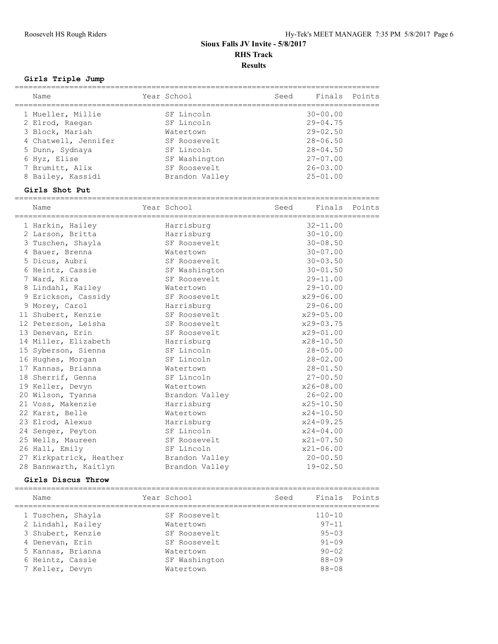## **Girls Triple Jump**

| Name                                    | Year School                   | Seed | Finals Points                |  |
|-----------------------------------------|-------------------------------|------|------------------------------|--|
| 1 Mueller, Millie<br>2 Elrod, Raegan    | SF Lincoln<br>SF Lincoln      |      | $30 - 00.00$<br>$29 - 04.75$ |  |
| 3 Block, Mariah                         | Watertown                     |      | $29 - 02.50$                 |  |
| 4 Chatwell, Jennifer<br>5 Dunn, Sydnaya | SF Roosevelt<br>SF Lincoln    |      | $28 - 06.50$<br>$28 - 04.50$ |  |
| 6 Hyz, Elise<br>7 Brumitt, Alix         | SF Washington<br>SF Roosevelt |      | $27 - 07.00$<br>$26 - 03.00$ |  |
| 8 Bailey, Kassidi                       | Brandon Valley                |      | $25 - 01.00$                 |  |

### **Girls Shot Put**

================================================================================ Name Year School Seed Finals Points

| 1 Harkin, Hailey                       | Harrisburg     | $32 - 11.00$  |
|----------------------------------------|----------------|---------------|
| 2 Larson, Britta                       | Harrisburg     | $30 - 10.00$  |
| 3 Tuschen, Shayla                      | SF Roosevelt   | $30 - 08.50$  |
| 4 Bauer, Brenna                        | Watertown      | $30 - 07.00$  |
| 5 Dicus, Aubri                         | SF Roosevelt   | $30 - 03.50$  |
| 6 Heintz, Cassie                       | SF Washington  | $30 - 01.50$  |
| 7 Ward, Kira                           | SF Roosevelt   | $29 - 11.00$  |
| 8 Lindahl, Kailey                      | Watertown      | $29 - 10.00$  |
| 9 Erickson, Cassidy                    | SF Roosevelt   | $x29 - 06.00$ |
| 9 Morey, Carol                         | Harrisburg     | $29 - 06.00$  |
| 11 Shubert, Kenzie                     | SF Roosevelt   | x29-05.00     |
| 12 Peterson, Leisha                    | SF Roosevelt   | $x29 - 03.75$ |
| 13 Denevan, Erin                       | SF Roosevelt   | $x29 - 01.00$ |
| 14 Miller, Elizabeth Marrisburg        |                | x28-10.50     |
| 15 Syberson, Sienna                    | SF Lincoln     | $28 - 05.00$  |
| 16 Hughes, Morgan                      | SF Lincoln     | $28 - 02.00$  |
| 17 Kannas, Brianna                     | Watertown      | $28 - 01.50$  |
| 18 Sherrif, Genna                      | SF Lincoln     | $27 - 00.50$  |
| 19 Keller, Devyn                       | Watertown      | $x26 - 08.00$ |
| 20 Wilson, Tyanna                      | Brandon Valley | $26 - 02.00$  |
| 21 Voss, Makenzie                      | Harrisburg     | x25-10.50     |
| 22 Karst, Belle                        | Watertown      | $x24 - 10.50$ |
| 23 Elrod, Alexus                       | Harrisburg     | $x24 - 09.25$ |
| 24 Senger, Peyton                      | SF Lincoln     | $x24 - 04.00$ |
| 25 Wells, Maureen                      | SF Roosevelt   | x21-07.50     |
| 26 Hall, Emily                         | SF Lincoln     | $x21 - 06.00$ |
| 27 Kirkpatrick, Heather Brandon Valley |                | $20 - 00.50$  |
| 28 Bannwarth, Kaitlyn                  | Brandon Valley | $19 - 02.50$  |

### **Girls Discus Throw**

| Name              | Year School   | Seed | Finals Points |  |
|-------------------|---------------|------|---------------|--|
| 1 Tuschen, Shayla | SF Roosevelt  |      | $110 - 10$    |  |
| 2 Lindahl, Kailey | Watertown     |      | $97 - 11$     |  |
| 3 Shubert, Kenzie | SF Roosevelt  |      | $95 - 03$     |  |
| 4 Denevan, Erin   | SF Roosevelt  |      | $91 - 09$     |  |
| 5 Kannas, Brianna | Watertown     |      | $90 - 02$     |  |
| 6 Heintz, Cassie  | SF Washington |      | $88 - 09$     |  |
| 7 Keller, Devyn   | Watertown     |      | $88 - 08$     |  |
|                   |               |      |               |  |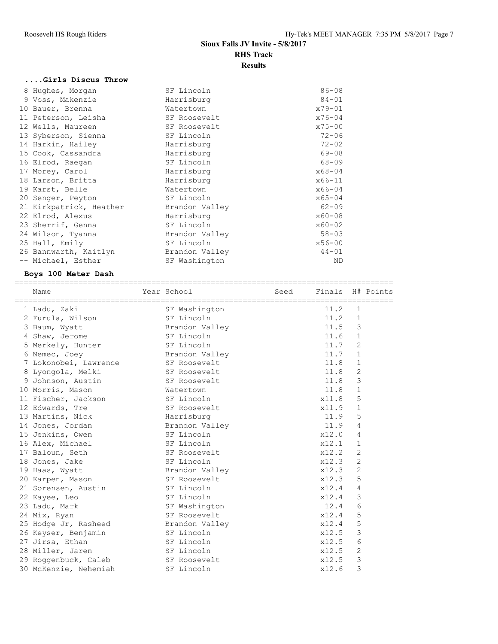# **....Girls Discus Throw**

| 8 Hughes, Morgan        | SF Lincoln     | $86 - 08$  |
|-------------------------|----------------|------------|
| 9 Voss, Makenzie        | Harrisburg     | $84 - 01$  |
| 10 Bauer, Brenna        | Watertown      | $x79 - 01$ |
| 11 Peterson, Leisha     | SF Roosevelt   | $x76 - 04$ |
| 12 Wells, Maureen       | SF Roosevelt   | $x75 - 00$ |
| 13 Syberson, Sienna     | SF Lincoln     | $72 - 06$  |
| 14 Harkin, Hailey       | Harrisburg     | $72 - 02$  |
| 15 Cook, Cassandra      | Harrisburg     | $69 - 08$  |
| 16 Elrod, Raegan        | SF Lincoln     | $68 - 09$  |
| 17 Morey, Carol         | Harrisburg     | $x68 - 04$ |
| 18 Larson, Britta       | Harrisburg     | $x66 - 11$ |
| 19 Karst, Belle         | Watertown      | $x66 - 04$ |
| 20 Senger, Peyton       | SF Lincoln     | $x65 - 04$ |
| 21 Kirkpatrick, Heather | Brandon Valley | $62 - 09$  |
| 22 Elrod, Alexus        | Harrisburg     | $x60 - 08$ |
| 23 Sherrif, Genna       | SF Lincoln     | $x60 - 02$ |
| 24 Wilson, Tyanna       | Brandon Valley | $58 - 03$  |
| 25 Hall, Emily          | SF Lincoln     | $x56 - 00$ |
| 26 Bannwarth, Kaitlyn   | Brandon Valley | $44 - 01$  |
| -- Michael, Esther      | SF Washington  | ND         |

## **Boys 100 Meter Dash**

| Name                               | Year School    | Seed | Finals H# Points |                |  |
|------------------------------------|----------------|------|------------------|----------------|--|
| 1 Ladu, Zaki                       | SF Washington  |      | 11.2             | 1              |  |
| 2 Furula, Wilson                   | SF Lincoln     |      | 11.2             | $\mathbf{1}$   |  |
| 3 Baum, Wyatt                      | Brandon Valley |      | 11.5             | 3              |  |
| 4 Shaw, Jerome                     | SF Lincoln     |      | 11.6             | $\mathbf{1}$   |  |
| 5 Merkely, Hunter                  | SF Lincoln     |      | 11.7             | $\overline{2}$ |  |
| 6 Nemec, Joey                      | Brandon Valley |      | 11.7             | $\mathbf{1}$   |  |
| 7 Lokonobei, Lawrence SF Roosevelt |                |      | 11.8             | $\mathbf{1}$   |  |
| 8 Lyongola, Melki                  | SF Roosevelt   |      | 11.8             | $\mathbf{2}$   |  |
| 9 Johnson, Austin                  | SF Roosevelt   |      | 11.8             | 3              |  |
| 10 Morris, Mason                   | Watertown      |      | 11.8             | $\mathbf{1}$   |  |
| 11 Fischer, Jackson                | SF Lincoln     |      | x11.8            | 5              |  |
| 12 Edwards, Tre                    | SF Roosevelt   |      | x11.9            | $\mathbf{1}$   |  |
| 13 Martins, Nick                   | Harrisburg     |      | 11.9             | 5              |  |
| 14 Jones, Jordan                   | Brandon Valley |      | 11.9             | 4              |  |
| 15 Jenkins, Owen                   | SF Lincoln     |      | x12.0            | 4              |  |
| 16 Alex, Michael                   | SF Lincoln     |      | x12.1            | $\mathbf 1$    |  |
| 17 Baloun, Seth                    | SF Roosevelt   |      | x12.2            | $\overline{c}$ |  |
| 18 Jones, Jake                     | SF Lincoln     |      | x12.3            | $\overline{2}$ |  |
|                                    | Brandon Valley |      | x12.3            | $\overline{2}$ |  |
| 20 Karpen, Mason                   | SF Roosevelt   |      | x12.3            | 5              |  |
| 21 Sorensen, Austin                | SF Lincoln     |      | x12.4            | 4              |  |
| 22 Kayee, Leo                      | SF Lincoln     |      | x12.4            | 3              |  |
| 23 Ladu, Mark                      | SF Washington  |      | 12.4             | 6              |  |
| 24 Mix, Ryan                       | SF Roosevelt   |      | x12.4            | 5              |  |
| 25 Hodge Jr, Rasheed               | Brandon Valley |      | x12.4            | 5              |  |
| 26 Keyser, Benjamin                | SF Lincoln     |      | x12.5            | 3              |  |
| 27 Jirsa, Ethan                    | SF Lincoln     |      | x12.5            | 6              |  |
| 28 Miller, Jaren                   | SF Lincoln     |      | x12.5            | $\overline{2}$ |  |
| 29 Roggenbuck, Caleb               | SF Roosevelt   |      | x12.5            | 3              |  |
| 30 McKenzie, Nehemiah              | SF Lincoln     |      | x12.6            | 3              |  |
|                                    | 19 Haas, Wyatt |      |                  |                |  |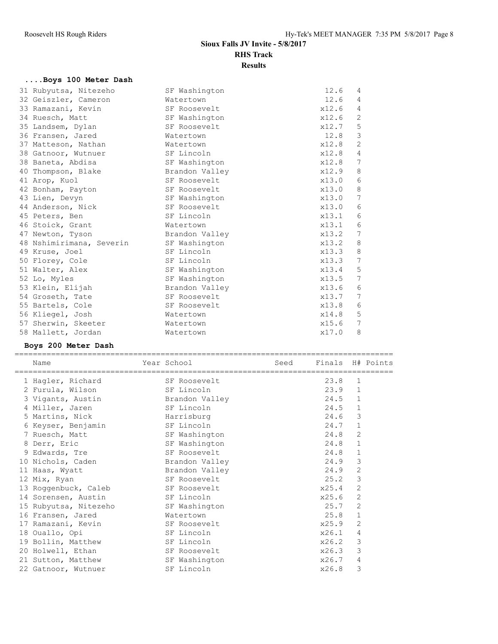## **....Boys 100 Meter Dash**

| 31 Rubyutsa, Nitezeho    | SF Washington  | 12.6  | 4            |
|--------------------------|----------------|-------|--------------|
| 32 Geiszler, Cameron     | Watertown      | 12.6  | 4            |
| 33 Ramazani, Kevin       | SF Roosevelt   | x12.6 | 4            |
| 34 Ruesch, Matt          | SF Washington  | x12.6 | 2            |
| 35 Landsem, Dylan        | SF Roosevelt   | x12.7 | 5            |
| 36 Fransen, Jared        | Watertown      | 12.8  | $\mathbf{3}$ |
| 37 Matteson, Nathan      | Watertown      | x12.8 | 2            |
| 38 Gatnoor, Wutnuer      | SF Lincoln     | x12.8 | 4            |
| 38 Baneta, Abdisa        | SF Washington  | x12.8 | 7            |
| 40 Thompson, Blake       | Brandon Valley | x12.9 | 8            |
| 41 Arop, Kuol            | SF Roosevelt   | x13.0 | 6            |
| 42 Bonham, Payton        | SF Roosevelt   | x13.0 | 8            |
| 43 Lien, Devyn           | SF Washington  | x13.0 | 7            |
| 44 Anderson, Nick        | SF Roosevelt   | x13.0 | 6            |
| 45 Peters, Ben           | SF Lincoln     | x13.1 | 6            |
| 46 Stoick, Grant         | Watertown      | x13.1 | 6            |
| 47 Newton, Tyson         | Brandon Valley | x13.2 | 7            |
| 48 Nshimirimana, Severin | SF Washington  | x13.2 | 8            |
| 49 Kruse, Joel           | SF Lincoln     | x13.3 | 8            |
| 50 Florey, Cole          | SF Lincoln     | x13.3 | 7            |
| 51 Walter, Alex          | SF Washington  | x13.4 | 5            |
| 52 Lo, Myles             | SF Washington  | x13.5 | 7            |
| 53 Klein, Elijah         | Brandon Valley | x13.6 | 6            |
| 54 Groseth, Tate         | SF Roosevelt   | x13.7 | 7            |
| 55 Bartels, Cole         | SF Roosevelt   | x13.8 | 6            |
| 56 Kliegel, Josh         | Watertown      | x14.8 | 5            |
| 57 Sherwin, Skeeter      | Watertown      | x15.6 | 7            |
| 58 Mallett, Jordan       | Watertown      | x17.0 | 8            |
|                          |                |       |              |

## **Boys 200 Meter Dash**

| Name                  | Year School    | Seed | Finals H# Points |                |  |
|-----------------------|----------------|------|------------------|----------------|--|
| 1 Hagler, Richard     | SF Roosevelt   |      | 23.8             | $\mathbf{1}$   |  |
| 2 Furula, Wilson      | SF Lincoln     |      | 23.9             | $\mathbf{1}$   |  |
| 3 Vigants, Austin     | Brandon Valley |      | 24.5             | $\mathbf{1}$   |  |
| 4 Miller, Jaren       | SF Lincoln     |      | 24.5             | $\mathbf{1}$   |  |
| 5 Martins, Nick       | Harrisburg     |      | 24.6             | 3              |  |
| 6 Keyser, Benjamin    | SF Lincoln     |      | 24.7             | $\mathbf{1}$   |  |
| 7 Ruesch, Matt        | SF Washington  |      | 24.8             | $\overline{2}$ |  |
| 8 Derr, Eric          | SF Washington  |      | 24.8             | $\mathbf{1}$   |  |
| 9 Edwards, Tre        | SF Roosevelt   |      | 24.8             | $\mathbf{1}$   |  |
| 10 Nichols, Caden     | Brandon Valley |      | 24.9             | 3              |  |
| 11 Haas, Wyatt        | Brandon Valley |      | 24.9             | 2              |  |
| 12 Mix, Ryan          | SF Roosevelt   |      | 25.2             | 3              |  |
| 13 Roggenbuck, Caleb  | SF Roosevelt   |      | x25.4            | $\overline{c}$ |  |
| 14 Sorensen, Austin   | SF Lincoln     |      | x25.6            | $\overline{2}$ |  |
| 15 Rubyutsa, Nitezeho | SF Washington  |      | 25.7             | $\overline{2}$ |  |
| 16 Fransen, Jared     | Watertown      |      | 25.8             | $\mathbf{1}$   |  |
| 17 Ramazani, Kevin    | SF Roosevelt   |      | x25.9            | $\overline{2}$ |  |
| 18 Ouallo, Opi        | SF Lincoln     |      | x26.1            | 4              |  |
| 19 Bollin, Matthew    | SF Lincoln     |      | x26.2            | 3              |  |
| 20 Holwell, Ethan     | SF Roosevelt   |      | x26.3            | 3              |  |
| 21 Sutton, Matthew    | SF Washington  |      | x26.7            | 4              |  |
| 22 Gatnoor, Wutnuer   | SF Lincoln     |      | x26.8            | 3              |  |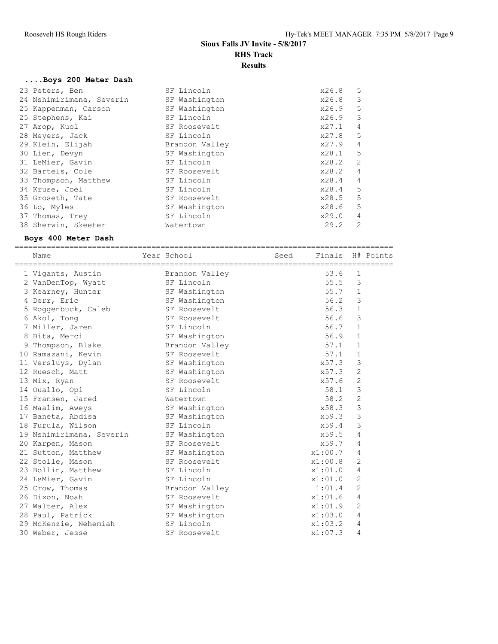#### **....Boys 200 Meter Dash**

| SF Lincoln     | x26.8 | 5              |
|----------------|-------|----------------|
| SF Washington  | x26.8 | 3              |
| SF Washington  | x26.9 | 5              |
| SF Lincoln     | x26.9 | 3              |
| SF Roosevelt   | x27.1 | $\overline{4}$ |
| SF Lincoln     | x27.8 | 5              |
| Brandon Valley | x27.9 | 4              |
| SF Washington  | x28.1 | 5              |
| SF Lincoln     | x28.2 | 2              |
| SF Roosevelt   | x28.2 | 4              |
| SF Lincoln     | x28.4 | $\overline{4}$ |
| SF Lincoln     | x28.4 | 5              |
| SF Roosevelt   | x28.5 | 5              |
| SF Washington  | x28.6 | 5              |
| SF Lincoln     | x29.0 | 4              |
| Watertown      | 29.2  | $\mathfrak{D}$ |
|                |       |                |

#### **Boys 400 Meter Dash**

=================================================================================== Name  $Year School$  Seed Finals H# Points =================================================================================== 1 Vigants, Austin Brandon Valley 53.6 1 2 VanDenTop, Wyatt SF Lincoln 55.5 3 3 Kearney, Hunter SF Washington 55.7 1 4 Derr, Eric **SF Washington** 56.2 3 5 Roggenbuck, Caleb SF Roosevelt 56.3 1 6 Akol, Tong SF Roosevelt 56.6 3 7 Miller, Jaren SF Lincoln 56.7 1 8 Bita, Merci SF Washington 56.9 1 9 Thompson, Blake Brandon Valley 57.1 1 10 Ramazani, Kevin SF Roosevelt 57.1 1 11 Versluys, Dylan SF Washington 37.3 3 12 Ruesch, Matt SF Washington x57.3 2 13 Mix, Ryan SF Roosevelt 257.6 2 14 Ouallo, Opi SF Lincoln 58.1 3 15 Fransen, Jared Watertown 58.2 2 16 Maalim, Aweys SF Washington 258.3 3 17 Baneta, Abdisa SF Washington x59.3 3 18 Furula, Wilson SF Lincoln x59.4 3 19 Nshimirimana, Severin SF Washington x59.5 4 20 Karpen, Mason SF Roosevelt 30 X59.7 4 21 Sutton, Matthew SF Washington  $x1:00.7$  4 22 Stolle, Mason SF Roosevelt x1:00.8 2 23 Bollin, Matthew SF Lincoln  $x1:01.0$  4 24 LeMier, Gavin SF Lincoln x1:01.0 2 25 Crow, Thomas Brandon Valley 1:01.4 2 26 Dixon, Noah SF Roosevelt x1:01.6 4 27 Walter, Alex SF Washington 2 x1:01.9 2 28 Paul, Patrick SF Washington x1:03.0 4 29 McKenzie, Nehemiah SF Lincoln 31:03.2 4 30 Weber, Jesse SF Roosevelt  $x1:07.3$  4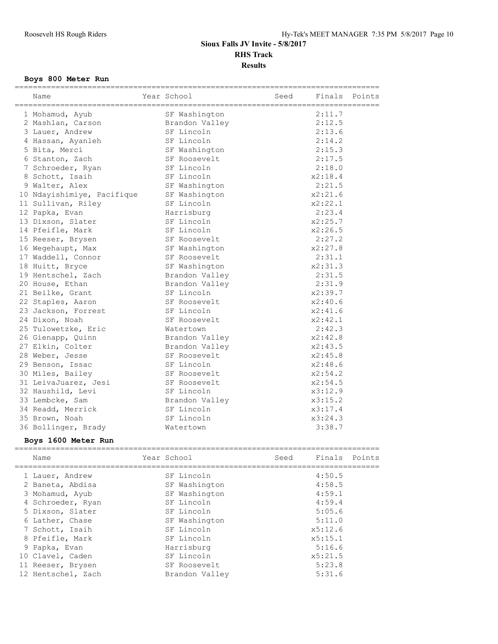## **Boys 800 Meter Run**

| Name                       | Year School    | Finals<br>Seed | Points |
|----------------------------|----------------|----------------|--------|
| 1 Mohamud, Ayub            | SF Washington  | 2:11.7         |        |
| 2 Mashlan, Carson          | Brandon Valley | 2:12.5         |        |
| 3 Lauer, Andrew            | SF Lincoln     | 2:13.6         |        |
| 4 Hassan, Ayanleh          | SF Lincoln     | 2:14.2         |        |
| 5 Bita, Merci              | SF Washington  | 2:15.3         |        |
| 6 Stanton, Zach            | SF Roosevelt   | 2:17.5         |        |
| 7 Schroeder, Ryan          | SF Lincoln     | 2:18.0         |        |
| 8 Schott, Isaih            | SF Lincoln     | x2:18.4        |        |
| 9 Walter, Alex             | SF Washington  | 2:21.5         |        |
| 10 Ndayishimiye, Pacifique | SF Washington  | x2:21.6        |        |
| 11 Sullivan, Riley         | SF Lincoln     | x2:22.1        |        |
| 12 Papka, Evan             | Harrisburg     | 2:23.4         |        |
| 13 Dixson, Slater          | SF Lincoln     | x2:25.7        |        |
| 14 Pfeifle, Mark           | SF Lincoln     | x2:26.5        |        |
| 15 Reeser, Brysen          | SF Roosevelt   | 2:27.2         |        |
| 16 Wegehaupt, Max          | SF Washington  | x2:27.8        |        |
| 17 Waddell, Connor         | SF Roosevelt   | 2:31.1         |        |
| 18 Huitt, Bryce            | SF Washington  | x2:31.3        |        |
| 19 Hentschel, Zach         | Brandon Valley | 2:31.5         |        |
| 20 House, Ethan            | Brandon Valley | 2:31.9         |        |
| 21 Beilke, Grant           | SF Lincoln     | x2:39.7        |        |
| 22 Staples, Aaron          | SF Roosevelt   | x2:40.6        |        |
| 23 Jackson, Forrest        | SF Lincoln     | x2:41.6        |        |
| 24 Dixon, Noah             | SF Roosevelt   | x2:42.1        |        |
| 25 Tulowetzke, Eric        | Watertown      | 2:42.3         |        |
| 26 Gienapp, Quinn          | Brandon Valley | x2:42.8        |        |
| 27 Elkin, Colter           | Brandon Valley | x2:43.5        |        |
| 28 Weber, Jesse            | SF Roosevelt   | x2:45.8        |        |
| 29 Benson, Issac           | SF Lincoln     | x2:48.6        |        |
| 30 Miles, Bailey           | SF Roosevelt   | x2:54.2        |        |
| 31 LeivaJuarez, Jesi       | SF Roosevelt   | x2:54.5        |        |
| 32 Haushild, Levi          | SF Lincoln     | x3:12.9        |        |
| 33 Lembcke, Sam            | Brandon Valley | x3:15.2        |        |
| 34 Readd, Merrick          | SF Lincoln     | x3:17.4        |        |
| 35 Brown, Noah             | SF Lincoln     | x3:24.3        |        |
| 36 Bollinger, Brady        | Watertown      | 3:38.7         |        |

## **Boys 1600 Meter Run**

| Name               | Year School    | Seed | Finals  | Points |
|--------------------|----------------|------|---------|--------|
| 1 Lauer, Andrew    | SF Lincoln     |      | 4:50.5  |        |
| 2 Baneta, Abdisa   | SF Washington  |      | 4:58.5  |        |
| 3 Mohamud, Ayub    | SF Washington  |      | 4:59.1  |        |
| 4 Schroeder, Ryan  | SF Lincoln     |      | 4:59.4  |        |
| 5 Dixson, Slater   | SF Lincoln     |      | 5:05.6  |        |
| 6 Lather, Chase    | SF Washington  |      | 5:11.0  |        |
| 7 Schott, Isaih    | SF Lincoln     |      | x5:12.6 |        |
| 8 Pfeifle, Mark    | SF Lincoln     |      | x5:15.1 |        |
| 9 Papka, Evan      | Harrisburg     |      | 5:16.6  |        |
| 10 Clavel, Caden   | SF Lincoln     |      | x5:21.5 |        |
| 11 Reeser, Brysen  | SF Roosevelt   |      | 5:23.8  |        |
| 12 Hentschel, Zach | Brandon Valley |      | 5:31.6  |        |
|                    |                |      |         |        |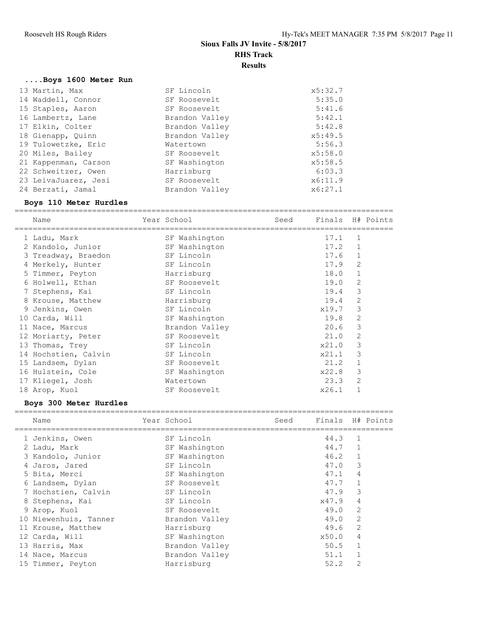## **....Boys 1600 Meter Run**

| 13 Martin, Max       | SF Lincoln     | x5:32.7 |
|----------------------|----------------|---------|
| 14 Waddell, Connor   | SF Roosevelt   | 5:35.0  |
| 15 Staples, Aaron    | SF Roosevelt   | 5:41.6  |
| 16 Lambertz, Lane    | Brandon Valley | 5:42.1  |
| 17 Elkin, Colter     | Brandon Valley | 5:42.8  |
| 18 Gienapp, Quinn    | Brandon Valley | x5:49.5 |
| 19 Tulowetzke, Eric  | Watertown      | 5:56.3  |
| 20 Miles, Bailey     | SF Roosevelt   | x5:58.0 |
| 21 Kappenman, Carson | SF Washington  | x5:58.5 |
| 22 Schweitzer, Owen  | Harrisburg     | 6:03.3  |
| 23 LeivaJuarez, Jesi | SF Roosevelt   | x6:11.9 |
| 24 Berzati, Jamal    | Brandon Valley | x6:27.1 |

## **Boys 110 Meter Hurdles**

|    | Name                 | Year School    | Seed | Finals H# Points |                |  |
|----|----------------------|----------------|------|------------------|----------------|--|
|    | 1 Ladu, Mark         | SF Washington  |      | 17.1             | 1              |  |
|    | 2 Kandolo, Junior    | SF Washington  |      | 17.2             |                |  |
|    | 3 Treadway, Braedon  | SF Lincoln     |      | 17.6             |                |  |
|    | 4 Merkely, Hunter    | SF Lincoln     |      | 17.9             | 2              |  |
|    | 5 Timmer, Peyton     | Harrisburg     |      | 18.0             |                |  |
|    | 6 Holwell, Ethan     | SF Roosevelt   |      | 19.0             | $\overline{c}$ |  |
|    | 7 Stephens, Kai      | SF Lincoln     |      | 19.4             | 3              |  |
|    | 8 Krouse, Matthew    | Harrisburg     |      | 19.4             | $\overline{2}$ |  |
| 9  | Jenkins, Owen        | SF Lincoln     |      | x19.7            | 3              |  |
|    | 10 Carda, Will       | SF Washington  |      | 19.8             | 2              |  |
| 11 | Nace, Marcus         | Brandon Valley |      | 20.6             | 3              |  |
|    | 12 Moriarty, Peter   | SF Roosevelt   |      | 21.0             | $\overline{2}$ |  |
|    | 13 Thomas, Trey      | SF Lincoln     |      | x21.0            | 3              |  |
|    | 14 Hochstien, Calvin | SF Lincoln     |      | x21.1            | 3              |  |
|    | 15 Landsem, Dylan    | SF Roosevelt   |      | 21.2             |                |  |
|    | 16 Hulstein, Cole    | SF Washington  |      | x22.8            | 3              |  |
|    | 17 Kliegel, Josh     | Watertown      |      | 23.3             | 2              |  |
|    | 18 Arop, Kuol        | SF Roosevelt   |      | x26.1            |                |  |

## **Boys 300 Meter Hurdles**

| Name                  | Year School    | Seed | Finals H# Points |                |  |
|-----------------------|----------------|------|------------------|----------------|--|
| 1 Jenkins, Owen       | SF Lincoln     |      | 44.3             | 1              |  |
| 2 Ladu, Mark          | SF Washington  |      | 44.7             |                |  |
| 3 Kandolo, Junior     | SF Washington  |      | 46.2             | $\mathbf{1}$   |  |
| 4 Jaros, Jared        | SF Lincoln     |      | 47.0             | 3              |  |
| 5 Bita, Merci         | SF Washington  |      | 47.1             | 4              |  |
| 6 Landsem, Dylan      | SF Roosevelt   |      | 47.7             | $\mathbf{1}$   |  |
| 7 Hochstien, Calvin   | SF Lincoln     |      | 47.9             | 3              |  |
| 8 Stephens, Kai       | SF Lincoln     |      | x47.9            | $\overline{4}$ |  |
| 9 Arop, Kuol          | SF Roosevelt   |      | 49.0             | $\overline{2}$ |  |
| 10 Niewenhuis, Tanner | Brandon Valley |      | 49.0             | 2              |  |
| 11 Krouse, Matthew    | Harrisburg     |      | 49.6             | $\overline{2}$ |  |
| 12 Carda, Will        | SF Washington  |      | x50.0            | 4              |  |
| 13 Harris, Max        | Brandon Valley |      | 50.5             | $\mathbf{1}$   |  |
| 14 Nace, Marcus       | Brandon Valley |      | 51.1             | 1              |  |
| 15 Timmer, Peyton     | Harrisburg     |      | 52.2             | $\overline{2}$ |  |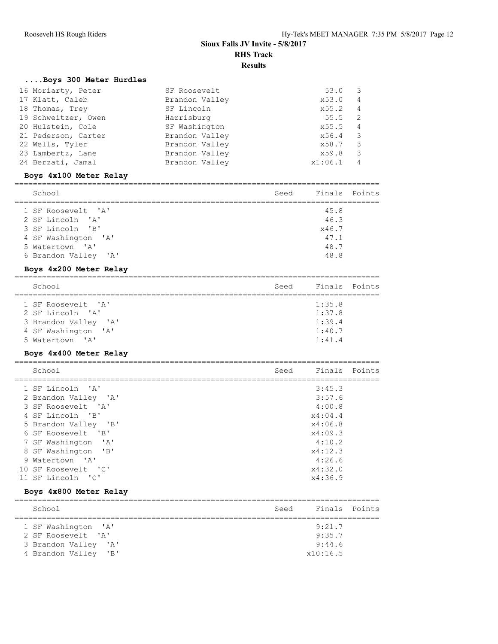## **....Boys 300 Meter Hurdles**

| 16 Moriarty, Peter  | SF Roosevelt   | 53.0    | 3              |
|---------------------|----------------|---------|----------------|
| 17 Klatt, Caleb     | Brandon Valley | x53.0   | 4              |
| 18 Thomas, Trey     | SF Lincoln     | x55.2   | 4              |
| 19 Schweitzer, Owen | Harrisburg     | 55.5    | -2             |
| 20 Hulstein, Cole   | SF Washington  | x55.5   | $\overline{4}$ |
| 21 Pederson, Carter | Brandon Valley | x56.4   | -3             |
| 22 Wells, Tyler     | Brandon Valley | x58.7   | 3              |
| 23 Lambertz, Lane   | Brandon Valley | x59.8   | 3              |
| 24 Berzati, Jamal   | Brandon Valley | x1:06.1 | $\overline{4}$ |

### **Boys 4x100 Meter Relay**

| School               | Seed | Finals Points |  |
|----------------------|------|---------------|--|
|                      |      |               |  |
| 1 SF Roosevelt. 'A'  |      | 45.8          |  |
| 2 SF Lincoln 'A'     |      | 46.3          |  |
| 3 SF Lincoln 'B'     |      | x46.7         |  |
| 4 SF Washington 'A'  |      | 47.1          |  |
| 5 Watertown 'A'      |      | 48.7          |  |
| 6 Brandon Valley 'A' |      | 48.8          |  |

## **Boys 4x200 Meter Relay**

| School               | Seed | Finals Points |  |
|----------------------|------|---------------|--|
|                      |      |               |  |
| 1 SF Roosevelt. 'A'  |      | 1:35.8        |  |
|                      |      |               |  |
| 2 SF Lincoln 'A'     |      | 1:37.8        |  |
| 3 Brandon Valley 'A' |      | 1:39.4        |  |
|                      |      |               |  |
| 4 SF Washington 'A'  |      | 1:40.7        |  |
|                      |      |               |  |
| 5 Watertown 'A'      |      | 1:41.4        |  |

## **Boys 4x400 Meter Relay**

| School               | Seed | Finals Points |  |
|----------------------|------|---------------|--|
| 1 SF Lincoln 'A'     |      | 3:45.3        |  |
| 2 Brandon Valley 'A' |      | 3:57.6        |  |
| 3 SF Roosevelt 'A'   |      | 4:00.8        |  |
| 4 SF Lincoln 'B'     |      | x4:04.4       |  |
| 5 Brandon Valley 'B' |      | x4:06.8       |  |
| 6 SF Roosevelt 'B'   |      | x4:09.3       |  |
| 7 SF Washington 'A'  |      | 4:10.2        |  |
| 8 SF Washington 'B'  |      | x4:12.3       |  |
| 9 Watertown 'A'      |      | 4:26.6        |  |
| 10 SF Roosevelt 'C'  |      | x4:32.0       |  |
| 11 SF Lincoln 'C'    |      | x4:36.9       |  |

## **Boys 4x800 Meter Relay**

| School                                                           | Seed | Finals Points |  |
|------------------------------------------------------------------|------|---------------|--|
|                                                                  |      |               |  |
| 1 SF Washington 'A'                                              |      | 9:21.7        |  |
| 2 SF Roosevelt. 'A'                                              |      | 9:35.7        |  |
| 3 Brandon Valley 'A'                                             |      | 9:44.6        |  |
| 4 Brandon Valley<br>$^{\prime}$ B <sup><math>\prime</math></sup> |      | x10:16.5      |  |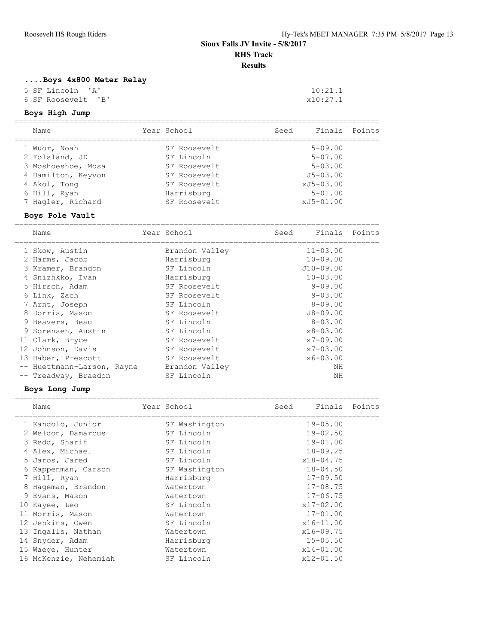## **....Boys 4x800 Meter Relay**

5 SF Lincoln 'A' 10:21.1<br>
6 SF Roosevelt 'B' 27.1 6 SF Roosevelt 'B'

## **Boys High Jump**

| Name               | Year School  | Seed | Finals         | Points |
|--------------------|--------------|------|----------------|--------|
| 1 Wuor, Noah       | SF Roosevelt |      | $5 - 09.00$    |        |
| 2 Folsland, JD     | SF Lincoln   |      | $5 - 07.00$    |        |
| 3 Moshoeshoe, Mosa | SF Roosevelt |      | $5 - 0.3$ , 00 |        |
| 4 Hamilton, Keyvon | SF Roosevelt |      | $J5 - 03.00$   |        |
| 4 Akol, Tong       | SF Roosevelt |      | $xJ5-03.00$    |        |
| 6 Hill, Ryan       | Harrisburg   |      | $5 - 01.00$    |        |
| 7 Hagler, Richard  | SF Roosevelt |      | xJ5-01.00      |        |

## **Boys Pole Vault**

================================================================================ Year School Seed Finals Points

| <u>ivann</u>               | ICUL DONOVI    | レーー<br>------- |  |
|----------------------------|----------------|----------------|--|
| 1 Skow, Austin             | Brandon Valley | $11 - 03.00$   |  |
| 2 Harms, Jacob             | Harrisburg     | $10 - 09.00$   |  |
| 3 Kramer, Brandon          | SF Lincoln     | $J10-09.00$    |  |
| 4 Snizhkko, Ivan           | Harrisburg     | $10 - 03.00$   |  |
| 5 Hirsch, Adam             | SF Roosevelt   | $9 - 09.00$    |  |
| 6 Link, Zach               | SF Roosevelt   | $9 - 03.00$    |  |
| 7 Arnt, Joseph             | SF Lincoln     | $8 - 09.00$    |  |
| 8 Dorris, Mason            | SF Roosevelt   | $J8 - 09.00$   |  |
| 9 Beavers, Beau            | SF Lincoln     | $8 - 03.00$    |  |
| 9 Sorensen, Austin         | SF Lincoln     | $x8 - 03.00$   |  |
| 11 Clark, Bryce            | SF Roosevelt   | $x7 - 09.00$   |  |
| 12 Johnson, Davis          | SF Roosevelt   | $x7 - 03.00$   |  |
| 13 Haber, Prescott         | SF Roosevelt   | $x6 - 03.00$   |  |
| -- Huettmann-Larson, Rayne | Brandon Valley | ΝH             |  |
| -- Treadway, Braedon       | SF Lincoln     | ΝH             |  |

### **Boys Long Jump**

|    | Name                  | Year School   | Seed | Finals Points |  |
|----|-----------------------|---------------|------|---------------|--|
|    | 1 Kandolo, Junior     | SF Washington |      | $19 - 05.00$  |  |
|    | 2 Weldon, Damarcus    | SF Lincoln    |      | $19 - 02.50$  |  |
|    | 3 Redd, Sharif        | SF Lincoln    |      | $19 - 01.00$  |  |
|    | 4 Alex, Michael       | SF Lincoln    |      | $18 - 09.25$  |  |
|    | 5 Jaros, Jared        | SF Lincoln    |      | $x18 - 04.75$ |  |
|    | Kappenman, Carson     | SF Washington |      | $18 - 04.50$  |  |
|    | 7 Hill, Ryan          | Harrisburg    |      | $17 - 09.50$  |  |
| 8  | Hageman, Brandon      | Watertown     |      | $17 - 08.75$  |  |
| 9. | Evans, Mason          | Watertown     |      | $17 - 06.75$  |  |
| 10 | Kayee, Leo            | SF Lincoln    |      | $x17 - 02.00$ |  |
|    | 11 Morris, Mason      | Watertown     |      | $17 - 01.00$  |  |
|    | 12 Jenkins, Owen      | SF Lincoln    |      | $x16 - 11.00$ |  |
|    | 13 Ingalls, Nathan    | Watertown     |      | $x16 - 09.75$ |  |
|    | 14 Snyder, Adam       | Harrisburg    |      | $15 - 05.50$  |  |
|    | 15 Waeqe, Hunter      | Watertown     |      | $x14 - 01.00$ |  |
|    | 16 McKenzie, Nehemiah | SF Lincoln    |      | $x12 - 01.50$ |  |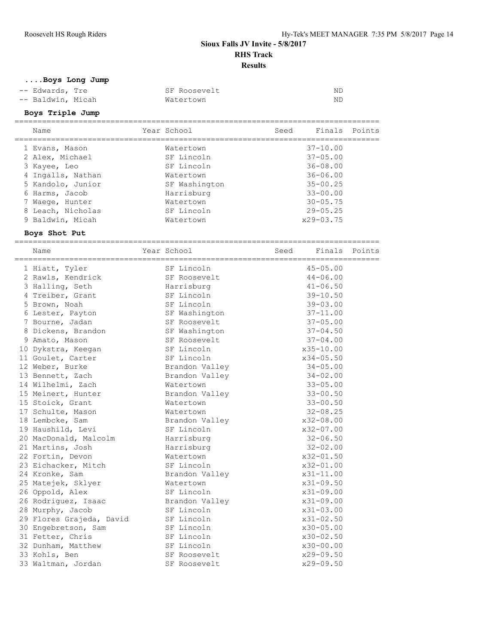**....Boys Long Jump**

| -- Edwards, Tre   | SF Roosevelt | ND |
|-------------------|--------------|----|
| -- Baldwin, Micah | Watertown    | ND |

# **Boys Triple Jump**

| Name              | Year School   | Seed | Finals Points |  |
|-------------------|---------------|------|---------------|--|
| 1 Evans, Mason    | Watertown     |      | $37 - 10.00$  |  |
| 2 Alex, Michael   | SF Lincoln    |      | $37 - 05.00$  |  |
| 3 Kayee, Leo      | SF Lincoln    |      | $36 - 08.00$  |  |
| 4 Ingalls, Nathan | Watertown     |      | $36 - 06.00$  |  |
| 5 Kandolo, Junior | SF Washington |      | $35 - 00.25$  |  |
| 6 Harms, Jacob    | Harrisburg    |      | $33 - 00.00$  |  |
| 7 Waeqe, Hunter   | Watertown     |      | $30 - 05.75$  |  |
| 8 Leach, Nicholas | SF Lincoln    |      | $29 - 05.25$  |  |
| 9 Baldwin, Micah  | Watertown     |      | $x29 - 03.75$ |  |

## **Boys Shot Put**

| Name                     | Year School    | Seed Finals Points |  |
|--------------------------|----------------|--------------------|--|
| 1 Hiatt, Tyler           | SF Lincoln     | $45 - 05.00$       |  |
| 2 Rawls, Kendrick        | SF Roosevelt   | $44 - 06.00$       |  |
| 3 Halling, Seth          | Harrisburg     | $41 - 06.50$       |  |
| 4 Treiber, Grant         | SF Lincoln     | $39 - 10.50$       |  |
| 5 Brown, Noah            | SF Lincoln     | $39 - 03.00$       |  |
| 6 Lester, Payton         | SF Washington  | $37 - 11.00$       |  |
| 7 Bourne, Jadan          | SF Roosevelt   | $37 - 05.00$       |  |
| 8 Dickens, Brandon       | SF Washington  | $37 - 04.50$       |  |
| 9 Amato, Mason           | SF Roosevelt   | $37 - 04.00$       |  |
| 10 Dykstra, Keegan       | SF Lincoln     | $x35 - 10.00$      |  |
| 11 Goulet, Carter        | SF Lincoln     | $x34 - 05.50$      |  |
| 12 Weber, Burke          | Brandon Valley | $34 - 05.00$       |  |
| 13 Bennett, Zach         | Brandon Valley | $34 - 02.00$       |  |
| 14 Wilhelmi, Zach        | Watertown      | $33 - 05.00$       |  |
| 15 Meinert, Hunter       | Brandon Valley | $33 - 00.50$       |  |
| 15 Stoick, Grant         | Watertown      | $33 - 00.50$       |  |
| 17 Schulte, Mason        | Watertown      | $32 - 08.25$       |  |
| 18 Lembcke, Sam          | Brandon Valley | x32-08.00          |  |
| 19 Haushild, Levi        | SF Lincoln     | $x32 - 07.00$      |  |
| 20 MacDonald, Malcolm    | Harrisburg     | $32 - 06.50$       |  |
| 21 Martins, Josh         | Harrisburg     | $32 - 02.00$       |  |
| 22 Fortin, Devon         | Watertown      | x32-01.50          |  |
| 23 Eichacker, Mitch      | SF Lincoln     | x32-01.00          |  |
| 24 Kronke, Sam           | Brandon Valley | $x31 - 11.00$      |  |
| 25 Matejek, Sklyer       | Watertown      | $x31 - 09.50$      |  |
| 26 Oppold, Alex          | SF Lincoln     | $x31 - 09.00$      |  |
| 26 Rodriguez, Isaac      | Brandon Valley | $x31 - 09.00$      |  |
| 28 Murphy, Jacob         | SF Lincoln     | $x31 - 03.00$      |  |
| 29 Flores Grajeda, David | SF Lincoln     | $x31 - 02.50$      |  |
| 30 Engebretson, Sam      | SF Lincoln     | $x30 - 05.00$      |  |
| 31 Fetter, Chris         | SF Lincoln     | $x30 - 02.50$      |  |
| 32 Dunham, Matthew       | SF Lincoln     | $x30-00.00$        |  |
| 33 Kohls, Ben            | SF Roosevelt   | $x29 - 09.50$      |  |
| 33 Waltman, Jordan       | SF Roosevelt   | $x29 - 09.50$      |  |
|                          |                |                    |  |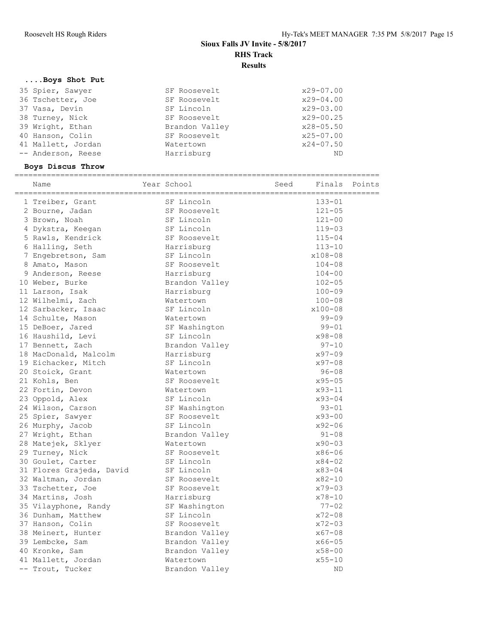## **....Boys Shot Put**

| 35 Spier, Sawyer   | SF Roosevelt   | x29-07.00     |
|--------------------|----------------|---------------|
| 36 Tschetter, Joe  | SF Roosevelt   | $x29 - 04.00$ |
| 37 Vasa, Devin     | SF Lincoln     | $x29 - 03.00$ |
| 38 Turney, Nick    | SF Roosevelt   | $x29 - 00.25$ |
| 39 Wright, Ethan   | Brandon Valley | $x28 - 05.50$ |
| 40 Hanson, Colin   | SF Roosevelt   | $x25 - 07.00$ |
| 41 Mallett, Jordan | Watertown      | $x24 - 07.50$ |
| -- Anderson, Reese | Harrisburg     | ND            |

## **Boys Discus Throw**

| ============================<br>Name | Year School    | Seed |            | Finals Points |
|--------------------------------------|----------------|------|------------|---------------|
| 1 Treiber, Grant                     | SF Lincoln     |      | $133 - 01$ |               |
| 2 Bourne, Jadan                      | SF Roosevelt   |      | $121 - 05$ |               |
| 3 Brown, Noah                        | SF Lincoln     |      | $121 - 00$ |               |
| 4 Dykstra, Keegan                    | SF Lincoln     |      | $119 - 03$ |               |
| 5 Rawls, Kendrick                    | SF Roosevelt   |      | $115 - 04$ |               |
| 6 Halling, Seth                      | Harrisburg     |      | $113 - 10$ |               |
| 7 Engebretson, Sam                   | SF Lincoln     |      | x108-08    |               |
| 8 Amato, Mason                       | SF Roosevelt   |      | $104 - 08$ |               |
| 9 Anderson, Reese                    | Harrisburg     |      | $104 - 00$ |               |
| 10 Weber, Burke                      | Brandon Valley |      | $102 - 05$ |               |
| 11 Larson, Isak                      | Harrisburg     |      | $100 - 09$ |               |
| 12 Wilhelmi, Zach                    | Watertown      |      | $100 - 08$ |               |
| 12 Sarbacker, Isaac                  | SF Lincoln     |      | x100-08    |               |
| 14 Schulte, Mason                    | Watertown      |      | $99 - 09$  |               |
| 15 DeBoer, Jared                     | SF Washington  |      | $99 - 01$  |               |
| 16 Haushild, Levi                    | SF Lincoln     |      | x98-08     |               |
| 17 Bennett, Zach                     | Brandon Valley |      | $97 - 10$  |               |
| 18 MacDonald, Malcolm                | Harrisburg     |      | $x97 - 09$ |               |
| 19 Eichacker, Mitch                  | SF Lincoln     |      | $x97 - 08$ |               |
| 20 Stoick, Grant                     | Watertown      |      | $96 - 08$  |               |
| 21 Kohls, Ben                        | SF Roosevelt   |      | $x95 - 05$ |               |
| 22 Fortin, Devon                     | Watertown      |      | $x93 - 11$ |               |
| 23 Oppold, Alex                      | SF Lincoln     |      | $x93 - 04$ |               |
| 24 Wilson, Carson                    | SF Washington  |      | $93 - 01$  |               |
| 25 Spier, Sawyer                     | SF Roosevelt   |      | $x93 - 00$ |               |
| 26 Murphy, Jacob                     | SF Lincoln     |      | $x92 - 06$ |               |
| 27 Wright, Ethan                     | Brandon Valley |      | $91 - 08$  |               |
| 28 Matejek, Sklyer                   | Watertown      |      | $x90 - 03$ |               |
| 29 Turney, Nick                      | SF Roosevelt   |      | x86-06     |               |
| 30 Goulet, Carter                    | SF Lincoln     |      | $x84 - 02$ |               |
| 31 Flores Grajeda, David             | SF Lincoln     |      | $x83 - 04$ |               |
| 32 Waltman, Jordan                   | SF Roosevelt   |      | $x82 - 10$ |               |
| 33 Tschetter, Joe                    | SF Roosevelt   |      | $x79 - 03$ |               |
| 34 Martins, Josh                     | Harrisburg     |      | $x78 - 10$ |               |
| 35 Vilayphone, Randy                 | SF Washington  |      | $77 - 02$  |               |
| 36 Dunham, Matthew                   | SF Lincoln     |      | $x72 - 08$ |               |
| 37 Hanson, Colin                     | SF Roosevelt   |      | $x72 - 03$ |               |
| 38 Meinert, Hunter                   | Brandon Valley |      | $x67 - 08$ |               |
| 39 Lembcke, Sam                      | Brandon Valley |      | $x66 - 05$ |               |
| 40 Kronke, Sam                       | Brandon Valley |      | $x58 - 00$ |               |
| 41 Mallett, Jordan                   | Watertown      |      | $x55 - 10$ |               |
| -- Trout, Tucker                     | Brandon Valley |      | <b>ND</b>  |               |